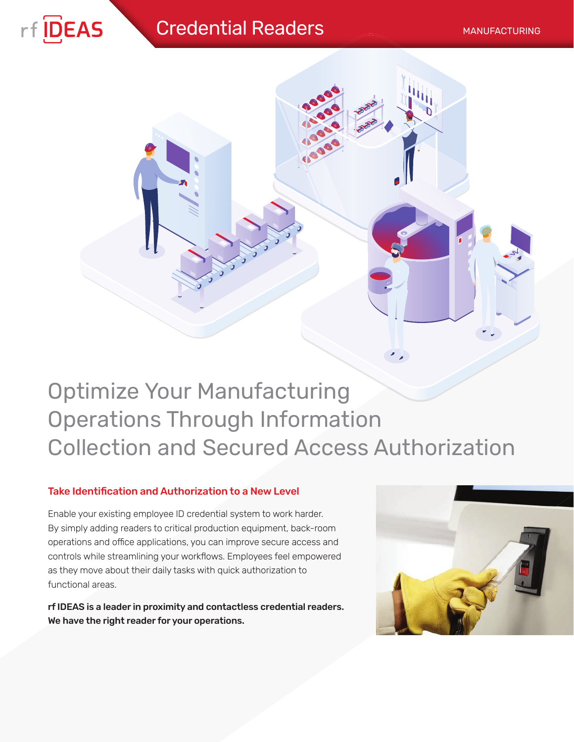# **Credential Readers** MANUFACTURING





# Optimize Your Manufacturing Operations Through Information Collection and Secured Access Authorization

# Take Identification and Authorization to a New Level

Enable your existing employee ID credential system to work harder. By simply adding readers to critical production equipment, back-room operations and office applications, you can improve secure access and controls while streamlining your workflows. Employees feel empowered as they move about their daily tasks with quick authorization to functional areas.

rf IDEAS is a leader in proximity and contactless credential readers. We have the right reader for your operations.

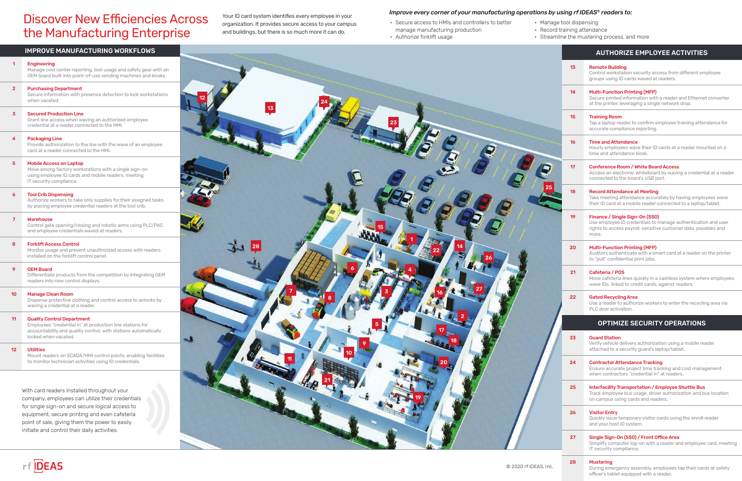- Secure access to HMIs and controllers to better manage manufacturing production • Authorize forklift usage
	-

• Manage tool dispensing

|      |                | <b>AUTHORIZE EMPLOYEE ACTIVITIES</b>                                                                                                                                        |
|------|----------------|-----------------------------------------------------------------------------------------------------------------------------------------------------------------------------|
|      | 1 <sub>3</sub> | <b>Remote Building</b><br>Control workstation security access from different employee<br>groups using ID cards waved at readers.                                            |
|      | 14             | <b>Multi-Function Printing (MFP)</b><br>Secure printed information with a reader and Ethernet converter<br>at the printer, leveraging a single network drop.                |
|      | 15             | <b>Training Room</b><br>Tap a laptop reader to confirm employee training attendance for<br>accurate compliance reporting.                                                   |
|      | 16             | <b>Time and Attendance</b><br>Hourly employees wave their ID cards at a reader mounted on a<br>time and attendance kiosk.                                                   |
|      | 17             | Conference Room / White Board Access<br>Access an electronic whiteboard by waving a credential at a reader<br>connected to the board's USB port.                            |
|      | 18             | <b>Record Attendance at Meeting</b><br>Take meeting attendance accurately by having employees wave<br>their ID card at a mobile reader connected to a laptop/tablet.        |
|      | 19             | Finance / Single Sign-On (SSO)<br>Use employee ID credentials to manage authentication and user<br>rights to access payroll, sensitive customer data, payables and<br>more. |
|      | 20             | <b>Multi-Function Printing (MFP)</b><br>Auditors authenticate with a smart card at a reader on the printer<br>to "pull" confidential print jobs.                            |
|      | 21             | Cafeteria / POS<br>Move cafeteria lines quickly in a cashless system where employees<br>wave IDs, linked to credit cards, against readers.                                  |
|      | 22             | <b>Gated Recycling Area</b><br>Use a reader to authorize workers to enter the recycling area via<br>PLC door activation.                                                    |
|      |                | <b>OPTIMIZE SECURITY OPERATIONS</b>                                                                                                                                         |
|      | 23             | <b>Guard Station</b><br>Verify vehicle delivery authorization using a mobile reader<br>attached to a security quard's laptop/tablet.                                        |
|      | 24             | <b>Contractor Attendance Tracking</b><br>Ensure accurate project time tracking and cost management<br>when contractors "credential in" at readers.                          |
|      | 25             | <b>Interfacility Transportation / Employee Shuttle Bus</b><br>Track employee bus usage, driver authorization and bus location<br>on campus using cards and readers.         |
|      | 26             | <b>Visitor Entry</b><br>Quickly issue temporary visitor cards using the enroll reader<br>and your host ID system.                                                           |
|      | 27             | Single Sign-On (SSO) / Front Office Area<br>Simplify computer log-on with a reader and employee card, meeting<br>IT security compliance.                                    |
| Inc. | 28             | <b>Mustering</b><br>During emergency assembly, employees tap their cards at safety<br>officer's tablet equipped with a reader.                                              |

• Record training attendance

• Streamline the mustering process, and more

## IMPROVE MANUFACTURING WORKFLOWS





# **Discover New Efficiencies Across** the Manufacturing Enterprise

organization. It provides secure access to your campus and buildings, but there is so much more it can do.

# *Improve every corner of your manufacturing operations by using rf IDEAS<sup>®</sup> readers to:<br>Your ID card system identifies every employee in your*

With card readers installed throughout your company, employees can utilize their credentials for single sign-on and secure logical access to equipment, secure printing and even cafeteria point of sale, giving them the power to easily initiate and control their daily activities.

#### 1 Engineering

Manage cost center reporting, tool usage and safety gear with an OEM board built into point-of-use vending machines and kiosks.

Differentiate products from the competition by integrating OEM readers into new control displays.

#### 2 Purchasing Department

Secure information with presence detection to lock workstations when vacated.

## 3 Secured Production Line

Grant line access when waving an authorized employee credential at a reader connected to the HMI.

#### 4 Packaging Line

Provide authorization to the line with the wave of an employee card at a reader connected to the HMI.

#### 5 Mobile Access on Laptop

Move among factory workstations with a single sign-on using employee ID cards and mobile readers, meeting IT security compliance.

#### 6 Tool Crib Dispensing

Authorize workers to take only supplies for their assigned tasks by placing employee credential readers at the tool crib.

#### 7 Warehouse

Control gate opening/closing and robotic arms using PLC/PAC and employee credentials waved at readers.

#### 8 Forklift Access Control

Monitor usage and prevent unauthorized access with readers installed on the forklift control panel.

#### 9 OEM Board

#### 10 Manage Clean Room

Dispense protective clothing and control access to airlocks by waving a credential at a reader.

#### 11 Quality Control Department

Employees "credential in" at production line stations for accountability and quality control, with stations automatically locked when vacated.

#### 12 Utilities

Mount readers on SCADA/HMI control points, enabling facilities to monitor technician activities using ID credentials.